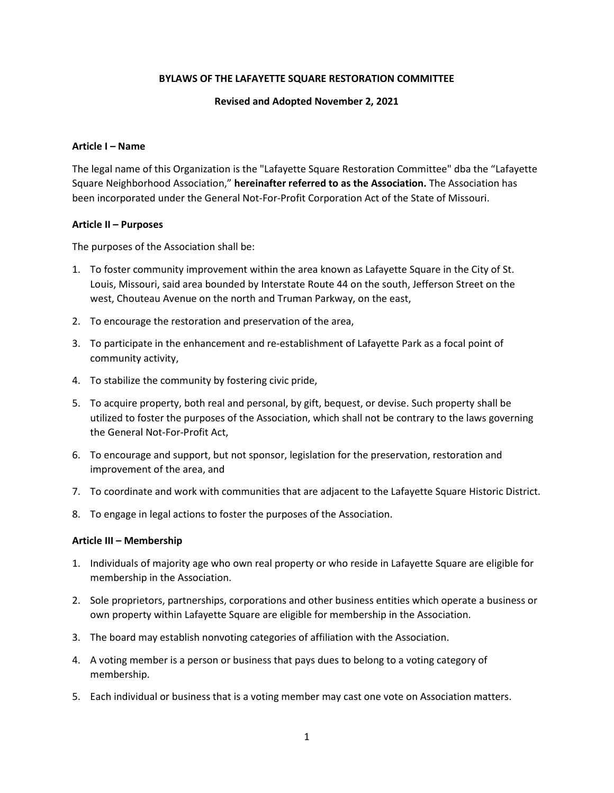### BYLAWS OF THE LAFAYETTE SQUARE RESTORATION COMMITTEE

### Revised and Adopted November 2, 2021

### Article I – Name

The legal name of this Organization is the "Lafayette Square Restoration Committee" dba the "Lafayette Square Neighborhood Association," hereinafter referred to as the Association. The Association has been incorporated under the General Not-For-Profit Corporation Act of the State of Missouri.

### Article II – Purposes

The purposes of the Association shall be:

- 1. To foster community improvement within the area known as Lafayette Square in the City of St. Louis, Missouri, said area bounded by Interstate Route 44 on the south, Jefferson Street on the west, Chouteau Avenue on the north and Truman Parkway, on the east,
- 2. To encourage the restoration and preservation of the area,
- 3. To participate in the enhancement and re-establishment of Lafayette Park as a focal point of community activity,
- 4. To stabilize the community by fostering civic pride,
- 5. To acquire property, both real and personal, by gift, bequest, or devise. Such property shall be utilized to foster the purposes of the Association, which shall not be contrary to the laws governing the General Not-For-Profit Act,
- 6. To encourage and support, but not sponsor, legislation for the preservation, restoration and improvement of the area, and
- 7. To coordinate and work with communities that are adjacent to the Lafayette Square Historic District.
- 8. To engage in legal actions to foster the purposes of the Association.

#### Article III – Membership

- 1. Individuals of majority age who own real property or who reside in Lafayette Square are eligible for membership in the Association.
- 2. Sole proprietors, partnerships, corporations and other business entities which operate a business or own property within Lafayette Square are eligible for membership in the Association.
- 3. The board may establish nonvoting categories of affiliation with the Association.
- 4. A voting member is a person or business that pays dues to belong to a voting category of membership.
- 5. Each individual or business that is a voting member may cast one vote on Association matters.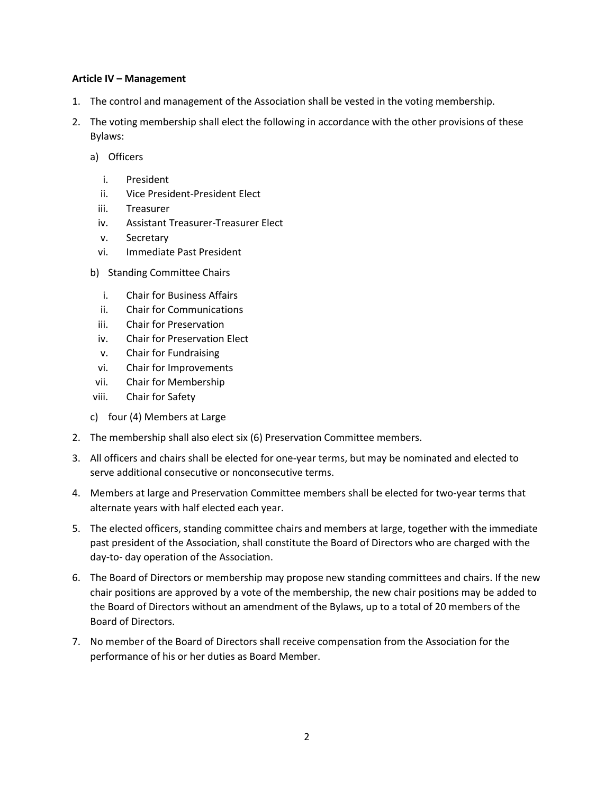### Article IV – Management

- 1. The control and management of the Association shall be vested in the voting membership.
- 2. The voting membership shall elect the following in accordance with the other provisions of these Bylaws:
	- a) Officers
		- i. President
		- ii. Vice President-President Elect
		- iii. Treasurer
		- iv. Assistant Treasurer-Treasurer Elect
		- v. Secretary
		- vi. Immediate Past President
	- b) Standing Committee Chairs
		- i. Chair for Business Affairs
		- ii. Chair for Communications
		- iii. Chair for Preservation
		- iv. Chair for Preservation Elect
		- v. Chair for Fundraising
	- vi. Chair for Improvements
	- vii. Chair for Membership
	- viii. Chair for Safety
	- c) four (4) Members at Large
- 2. The membership shall also elect six (6) Preservation Committee members.
- 3. All officers and chairs shall be elected for one-year terms, but may be nominated and elected to serve additional consecutive or nonconsecutive terms.
- 4. Members at large and Preservation Committee members shall be elected for two-year terms that alternate years with half elected each year.
- 5. The elected officers, standing committee chairs and members at large, together with the immediate past president of the Association, shall constitute the Board of Directors who are charged with the day-to- day operation of the Association.
- 6. The Board of Directors or membership may propose new standing committees and chairs. If the new chair positions are approved by a vote of the membership, the new chair positions may be added to the Board of Directors without an amendment of the Bylaws, up to a total of 20 members of the Board of Directors.
- 7. No member of the Board of Directors shall receive compensation from the Association for the performance of his or her duties as Board Member.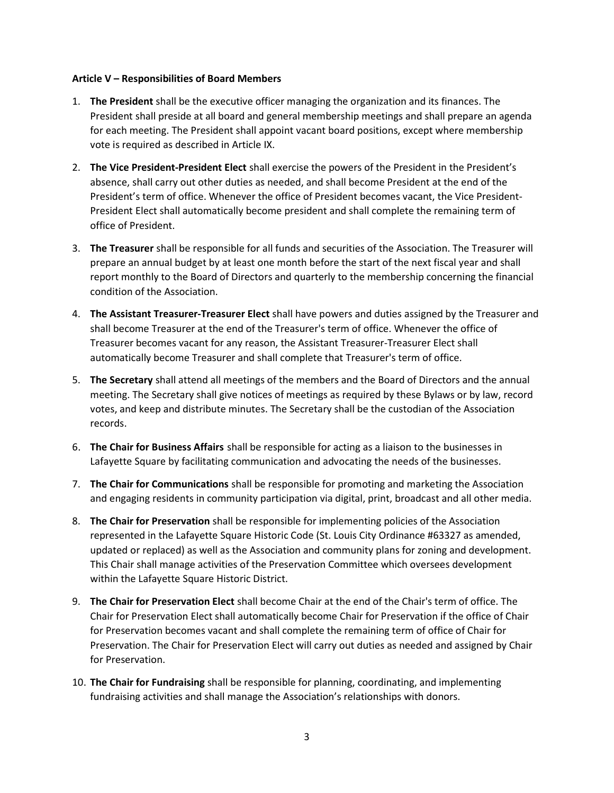### Article V – Responsibilities of Board Members

- 1. The President shall be the executive officer managing the organization and its finances. The President shall preside at all board and general membership meetings and shall prepare an agenda for each meeting. The President shall appoint vacant board positions, except where membership vote is required as described in Article IX.
- 2. The Vice President-President Elect shall exercise the powers of the President in the President's absence, shall carry out other duties as needed, and shall become President at the end of the President's term of office. Whenever the office of President becomes vacant, the Vice President-President Elect shall automatically become president and shall complete the remaining term of office of President.
- 3. The Treasurer shall be responsible for all funds and securities of the Association. The Treasurer will prepare an annual budget by at least one month before the start of the next fiscal year and shall report monthly to the Board of Directors and quarterly to the membership concerning the financial condition of the Association.
- 4. The Assistant Treasurer-Treasurer Elect shall have powers and duties assigned by the Treasurer and shall become Treasurer at the end of the Treasurer's term of office. Whenever the office of Treasurer becomes vacant for any reason, the Assistant Treasurer-Treasurer Elect shall automatically become Treasurer and shall complete that Treasurer's term of office.
- 5. The Secretary shall attend all meetings of the members and the Board of Directors and the annual meeting. The Secretary shall give notices of meetings as required by these Bylaws or by law, record votes, and keep and distribute minutes. The Secretary shall be the custodian of the Association records.
- 6. The Chair for Business Affairs shall be responsible for acting as a liaison to the businesses in Lafayette Square by facilitating communication and advocating the needs of the businesses.
- 7. The Chair for Communications shall be responsible for promoting and marketing the Association and engaging residents in community participation via digital, print, broadcast and all other media.
- 8. The Chair for Preservation shall be responsible for implementing policies of the Association represented in the Lafayette Square Historic Code (St. Louis City Ordinance #63327 as amended, updated or replaced) as well as the Association and community plans for zoning and development. This Chair shall manage activities of the Preservation Committee which oversees development within the Lafayette Square Historic District.
- 9. The Chair for Preservation Elect shall become Chair at the end of the Chair's term of office. The Chair for Preservation Elect shall automatically become Chair for Preservation if the office of Chair for Preservation becomes vacant and shall complete the remaining term of office of Chair for Preservation. The Chair for Preservation Elect will carry out duties as needed and assigned by Chair for Preservation.
- 10. The Chair for Fundraising shall be responsible for planning, coordinating, and implementing fundraising activities and shall manage the Association's relationships with donors.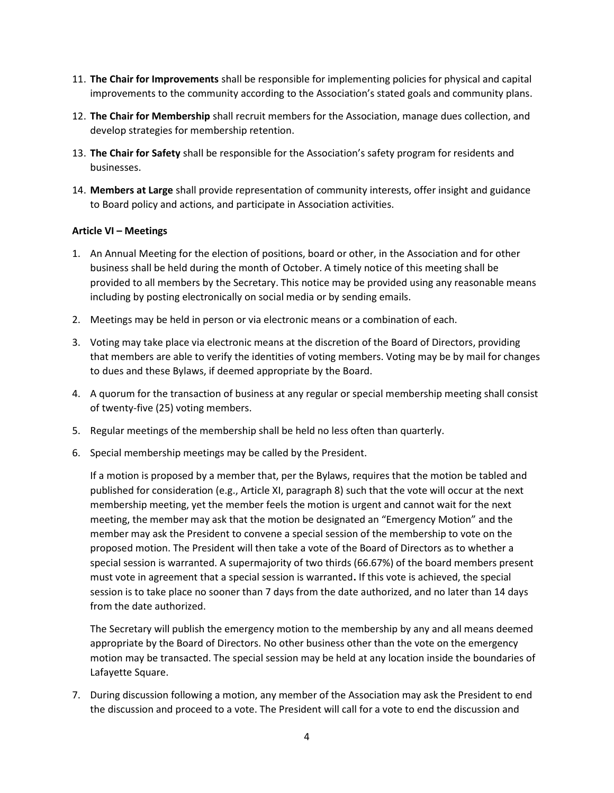- 11. The Chair for Improvements shall be responsible for implementing policies for physical and capital improvements to the community according to the Association's stated goals and community plans.
- 12. The Chair for Membership shall recruit members for the Association, manage dues collection, and develop strategies for membership retention.
- 13. The Chair for Safety shall be responsible for the Association's safety program for residents and businesses.
- 14. Members at Large shall provide representation of community interests, offer insight and guidance to Board policy and actions, and participate in Association activities.

## Article VI – Meetings

- 1. An Annual Meeting for the election of positions, board or other, in the Association and for other business shall be held during the month of October. A timely notice of this meeting shall be provided to all members by the Secretary. This notice may be provided using any reasonable means including by posting electronically on social media or by sending emails.
- 2. Meetings may be held in person or via electronic means or a combination of each.
- 3. Voting may take place via electronic means at the discretion of the Board of Directors, providing that members are able to verify the identities of voting members. Voting may be by mail for changes to dues and these Bylaws, if deemed appropriate by the Board.
- 4. A quorum for the transaction of business at any regular or special membership meeting shall consist of twenty-five (25) voting members.
- 5. Regular meetings of the membership shall be held no less often than quarterly.
- 6. Special membership meetings may be called by the President.

If a motion is proposed by a member that, per the Bylaws, requires that the motion be tabled and published for consideration (e.g., Article XI, paragraph 8) such that the vote will occur at the next membership meeting, yet the member feels the motion is urgent and cannot wait for the next meeting, the member may ask that the motion be designated an "Emergency Motion" and the member may ask the President to convene a special session of the membership to vote on the proposed motion. The President will then take a vote of the Board of Directors as to whether a special session is warranted. A supermajority of two thirds (66.67%) of the board members present must vote in agreement that a special session is warranted. If this vote is achieved, the special session is to take place no sooner than 7 days from the date authorized, and no later than 14 days from the date authorized.

The Secretary will publish the emergency motion to the membership by any and all means deemed appropriate by the Board of Directors. No other business other than the vote on the emergency motion may be transacted. The special session may be held at any location inside the boundaries of Lafayette Square.

7. During discussion following a motion, any member of the Association may ask the President to end the discussion and proceed to a vote. The President will call for a vote to end the discussion and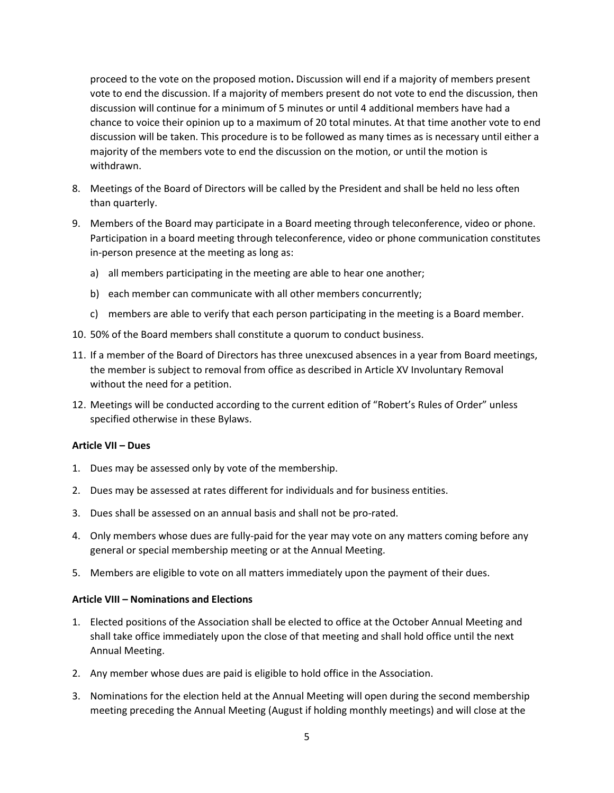proceed to the vote on the proposed motion. Discussion will end if a majority of members present vote to end the discussion. If a majority of members present do not vote to end the discussion, then discussion will continue for a minimum of 5 minutes or until 4 additional members have had a chance to voice their opinion up to a maximum of 20 total minutes. At that time another vote to end discussion will be taken. This procedure is to be followed as many times as is necessary until either a majority of the members vote to end the discussion on the motion, or until the motion is withdrawn.

- 8. Meetings of the Board of Directors will be called by the President and shall be held no less often than quarterly.
- 9. Members of the Board may participate in a Board meeting through teleconference, video or phone. Participation in a board meeting through teleconference, video or phone communication constitutes in-person presence at the meeting as long as:
	- a) all members participating in the meeting are able to hear one another;
	- b) each member can communicate with all other members concurrently;
	- c) members are able to verify that each person participating in the meeting is a Board member.
- 10. 50% of the Board members shall constitute a quorum to conduct business.
- 11. If a member of the Board of Directors has three unexcused absences in a year from Board meetings, the member is subject to removal from office as described in Article XV Involuntary Removal without the need for a petition.
- 12. Meetings will be conducted according to the current edition of "Robert's Rules of Order" unless specified otherwise in these Bylaws.

### Article VII – Dues

- 1. Dues may be assessed only by vote of the membership.
- 2. Dues may be assessed at rates different for individuals and for business entities.
- 3. Dues shall be assessed on an annual basis and shall not be pro-rated.
- 4. Only members whose dues are fully-paid for the year may vote on any matters coming before any general or special membership meeting or at the Annual Meeting.
- 5. Members are eligible to vote on all matters immediately upon the payment of their dues.

#### Article VIII – Nominations and Elections

- 1. Elected positions of the Association shall be elected to office at the October Annual Meeting and shall take office immediately upon the close of that meeting and shall hold office until the next Annual Meeting.
- 2. Any member whose dues are paid is eligible to hold office in the Association.
- 3. Nominations for the election held at the Annual Meeting will open during the second membership meeting preceding the Annual Meeting (August if holding monthly meetings) and will close at the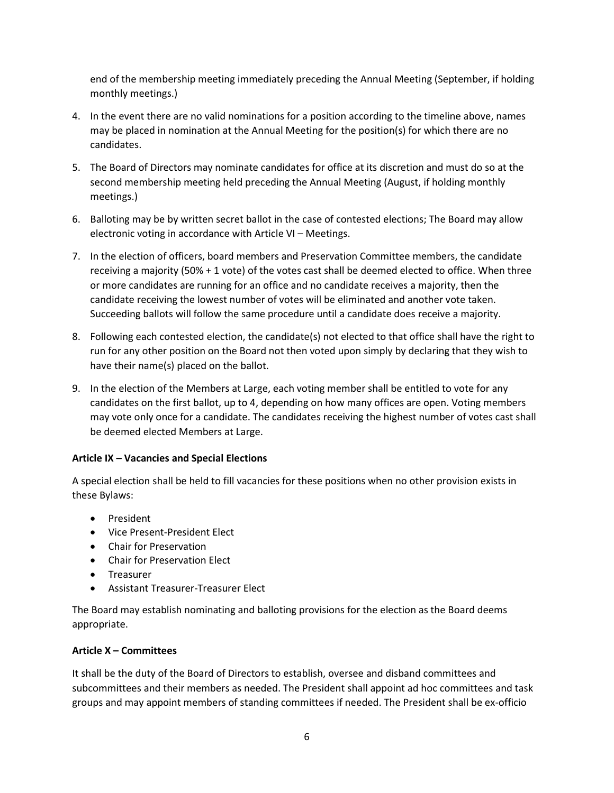end of the membership meeting immediately preceding the Annual Meeting (September, if holding monthly meetings.)

- 4. In the event there are no valid nominations for a position according to the timeline above, names may be placed in nomination at the Annual Meeting for the position(s) for which there are no candidates.
- 5. The Board of Directors may nominate candidates for office at its discretion and must do so at the second membership meeting held preceding the Annual Meeting (August, if holding monthly meetings.)
- 6. Balloting may be by written secret ballot in the case of contested elections; The Board may allow electronic voting in accordance with Article VI – Meetings.
- 7. In the election of officers, board members and Preservation Committee members, the candidate receiving a majority (50% + 1 vote) of the votes cast shall be deemed elected to office. When three or more candidates are running for an office and no candidate receives a majority, then the candidate receiving the lowest number of votes will be eliminated and another vote taken. Succeeding ballots will follow the same procedure until a candidate does receive a majority.
- 8. Following each contested election, the candidate(s) not elected to that office shall have the right to run for any other position on the Board not then voted upon simply by declaring that they wish to have their name(s) placed on the ballot.
- 9. In the election of the Members at Large, each voting member shall be entitled to vote for any candidates on the first ballot, up to 4, depending on how many offices are open. Voting members may vote only once for a candidate. The candidates receiving the highest number of votes cast shall be deemed elected Members at Large.

# Article IX – Vacancies and Special Elections

A special election shall be held to fill vacancies for these positions when no other provision exists in these Bylaws:

- President
- Vice Present-President Elect
- Chair for Preservation
- Chair for Preservation Elect
- Treasurer
- Assistant Treasurer-Treasurer Elect

The Board may establish nominating and balloting provisions for the election as the Board deems appropriate.

## Article X – Committees

It shall be the duty of the Board of Directors to establish, oversee and disband committees and subcommittees and their members as needed. The President shall appoint ad hoc committees and task groups and may appoint members of standing committees if needed. The President shall be ex-officio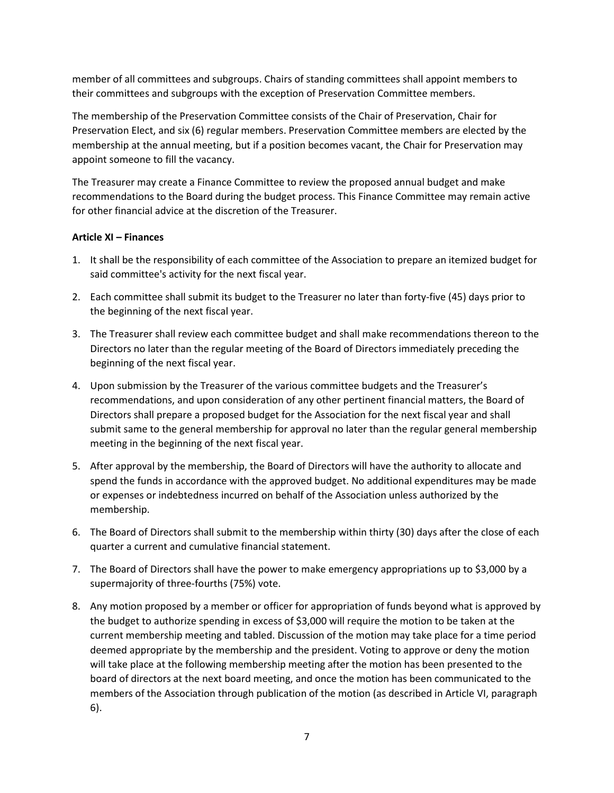member of all committees and subgroups. Chairs of standing committees shall appoint members to their committees and subgroups with the exception of Preservation Committee members.

The membership of the Preservation Committee consists of the Chair of Preservation, Chair for Preservation Elect, and six (6) regular members. Preservation Committee members are elected by the membership at the annual meeting, but if a position becomes vacant, the Chair for Preservation may appoint someone to fill the vacancy.

The Treasurer may create a Finance Committee to review the proposed annual budget and make recommendations to the Board during the budget process. This Finance Committee may remain active for other financial advice at the discretion of the Treasurer.

## Article XI – Finances

- 1. It shall be the responsibility of each committee of the Association to prepare an itemized budget for said committee's activity for the next fiscal year.
- 2. Each committee shall submit its budget to the Treasurer no later than forty-five (45) days prior to the beginning of the next fiscal year.
- 3. The Treasurer shall review each committee budget and shall make recommendations thereon to the Directors no later than the regular meeting of the Board of Directors immediately preceding the beginning of the next fiscal year.
- 4. Upon submission by the Treasurer of the various committee budgets and the Treasurer's recommendations, and upon consideration of any other pertinent financial matters, the Board of Directors shall prepare a proposed budget for the Association for the next fiscal year and shall submit same to the general membership for approval no later than the regular general membership meeting in the beginning of the next fiscal year.
- 5. After approval by the membership, the Board of Directors will have the authority to allocate and spend the funds in accordance with the approved budget. No additional expenditures may be made or expenses or indebtedness incurred on behalf of the Association unless authorized by the membership.
- 6. The Board of Directors shall submit to the membership within thirty (30) days after the close of each quarter a current and cumulative financial statement.
- 7. The Board of Directors shall have the power to make emergency appropriations up to \$3,000 by a supermajority of three-fourths (75%) vote.
- 8. Any motion proposed by a member or officer for appropriation of funds beyond what is approved by the budget to authorize spending in excess of \$3,000 will require the motion to be taken at the current membership meeting and tabled. Discussion of the motion may take place for a time period deemed appropriate by the membership and the president. Voting to approve or deny the motion will take place at the following membership meeting after the motion has been presented to the board of directors at the next board meeting, and once the motion has been communicated to the members of the Association through publication of the motion (as described in Article VI, paragraph 6).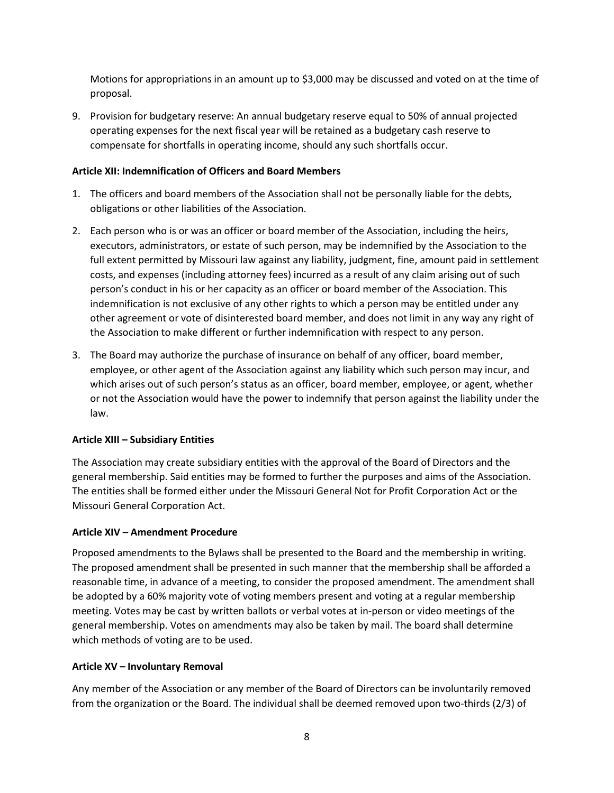Motions for appropriations in an amount up to \$3,000 may be discussed and voted on at the time of proposal.

9. Provision for budgetary reserve: An annual budgetary reserve equal to 50% of annual projected operating expenses for the next fiscal year will be retained as a budgetary cash reserve to compensate for shortfalls in operating income, should any such shortfalls occur.

## Article XII: Indemnification of Officers and Board Members

- 1. The officers and board members of the Association shall not be personally liable for the debts, obligations or other liabilities of the Association.
- 2. Each person who is or was an officer or board member of the Association, including the heirs, executors, administrators, or estate of such person, may be indemnified by the Association to the full extent permitted by Missouri law against any liability, judgment, fine, amount paid in settlement costs, and expenses (including attorney fees) incurred as a result of any claim arising out of such person's conduct in his or her capacity as an officer or board member of the Association. This indemnification is not exclusive of any other rights to which a person may be entitled under any other agreement or vote of disinterested board member, and does not limit in any way any right of the Association to make different or further indemnification with respect to any person.
- 3. The Board may authorize the purchase of insurance on behalf of any officer, board member, employee, or other agent of the Association against any liability which such person may incur, and which arises out of such person's status as an officer, board member, employee, or agent, whether or not the Association would have the power to indemnify that person against the liability under the law.

# Article XIII – Subsidiary Entities

The Association may create subsidiary entities with the approval of the Board of Directors and the general membership. Said entities may be formed to further the purposes and aims of the Association. The entities shall be formed either under the Missouri General Not for Profit Corporation Act or the Missouri General Corporation Act.

## Article XIV – Amendment Procedure

Proposed amendments to the Bylaws shall be presented to the Board and the membership in writing. The proposed amendment shall be presented in such manner that the membership shall be afforded a reasonable time, in advance of a meeting, to consider the proposed amendment. The amendment shall be adopted by a 60% majority vote of voting members present and voting at a regular membership meeting. Votes may be cast by written ballots or verbal votes at in-person or video meetings of the general membership. Votes on amendments may also be taken by mail. The board shall determine which methods of voting are to be used.

## Article XV – Involuntary Removal

Any member of the Association or any member of the Board of Directors can be involuntarily removed from the organization or the Board. The individual shall be deemed removed upon two-thirds (2/3) of